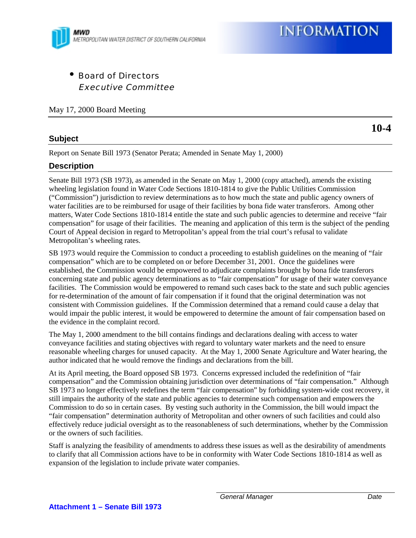

• Board of Directors Executive Committee

May 17, 2000 Board Meeting

# **Subject**

**10-4**

Report on Senate Bill 1973 (Senator Perata; Amended in Senate May 1, 2000)

# **Description**

Senate Bill 1973 (SB 1973), as amended in the Senate on May 1, 2000 (copy attached), amends the existing wheeling legislation found in Water Code Sections 1810-1814 to give the Public Utilities Commission ("Commission") jurisdiction to review determinations as to how much the state and public agency owners of water facilities are to be reimbursed for usage of their facilities by bona fide water transferors. Among other matters, Water Code Sections 1810-1814 entitle the state and such public agencies to determine and receive "fair compensation" for usage of their facilities. The meaning and application of this term is the subject of the pending Court of Appeal decision in regard to Metropolitan's appeal from the trial court's refusal to validate Metropolitan's wheeling rates.

SB 1973 would require the Commission to conduct a proceeding to establish guidelines on the meaning of "fair compensation" which are to be completed on or before December 31, 2001. Once the guidelines were established, the Commission would be empowered to adjudicate complaints brought by bona fide transferors concerning state and public agency determinations as to "fair compensation" for usage of their water conveyance facilities. The Commission would be empowered to remand such cases back to the state and such public agencies for re-determination of the amount of fair compensation if it found that the original determination was not consistent with Commission guidelines. If the Commission determined that a remand could cause a delay that would impair the public interest, it would be empowered to determine the amount of fair compensation based on the evidence in the complaint record.

The May 1, 2000 amendment to the bill contains findings and declarations dealing with access to water conveyance facilities and stating objectives with regard to voluntary water markets and the need to ensure reasonable wheeling charges for unused capacity. At the May 1, 2000 Senate Agriculture and Water hearing, the author indicated that he would remove the findings and declarations from the bill.

At its April meeting, the Board opposed SB 1973. Concerns expressed included the redefinition of "fair compensation" and the Commission obtaining jurisdiction over determinations of "fair compensation." Although SB 1973 no longer effectively redefines the term "fair compensation" by forbidding system-wide cost recovery, it still impairs the authority of the state and public agencies to determine such compensation and empowers the Commission to do so in certain cases. By vesting such authority in the Commission, the bill would impact the "fair compensation" determination authority of Metropolitan and other owners of such facilities and could also effectively reduce judicial oversight as to the reasonableness of such determinations, whether by the Commission or the owners of such facilities.

Staff is analyzing the feasibility of amendments to address these issues as well as the desirability of amendments to clarify that all Commission actions have to be in conformity with Water Code Sections 1810-1814 as well as expansion of the legislation to include private water companies.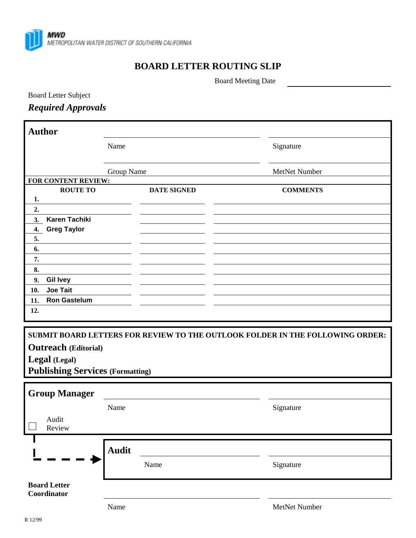

# **BOARD LETTER ROUTING SLIP**

Board Meeting Date

Board Letter Subject

*Required Approvals*

| <b>Author</b>                                                                 |              |                    |                 |
|-------------------------------------------------------------------------------|--------------|--------------------|-----------------|
|                                                                               | Name         |                    | Signature       |
|                                                                               | Group Name   |                    | MetNet Number   |
| FOR CONTENT REVIEW:                                                           |              |                    |                 |
| <b>ROUTE TO</b>                                                               |              | <b>DATE SIGNED</b> | <b>COMMENTS</b> |
| 1.                                                                            |              |                    |                 |
| 2.                                                                            |              |                    |                 |
| <b>Karen Tachiki</b><br>3.                                                    |              |                    |                 |
| <b>Greg Taylor</b><br>4.                                                      |              |                    |                 |
| 5.                                                                            |              |                    |                 |
| 6.                                                                            |              |                    |                 |
| 7.                                                                            |              |                    |                 |
| 8.                                                                            |              |                    |                 |
| <b>Gil Ivey</b><br>9.                                                         |              |                    |                 |
| <b>Joe Tait</b><br>10.                                                        |              |                    |                 |
| <b>Ron Gastelum</b><br>11.                                                    |              |                    |                 |
| 12.                                                                           |              |                    |                 |
|                                                                               |              |                    |                 |
|                                                                               |              |                    |                 |
| SUBMIT BOARD LETTERS FOR REVIEW TO THE OUTLOOK FOLDER IN THE FOLLOWING ORDER: |              |                    |                 |
| <b>Outreach</b> (Editorial)                                                   |              |                    |                 |
| Legal (Legal)                                                                 |              |                    |                 |
| <b>Publishing Services (Formatting)</b>                                       |              |                    |                 |
|                                                                               |              |                    |                 |
| <b>Group Manager</b>                                                          |              |                    |                 |
|                                                                               | Name         |                    | Signature       |
| Audit<br>Review                                                               |              |                    |                 |
|                                                                               |              |                    |                 |
|                                                                               | <b>Audit</b> |                    |                 |
|                                                                               |              | Name               | Signature       |
| <b>Board Letter</b><br>Coordinator                                            |              |                    |                 |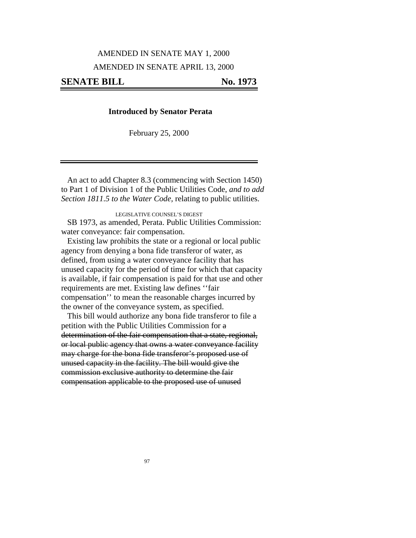#### AMENDED IN SENATE MAY 1, 2000

### AMENDED IN SENATE APRIL 13, 2000

### **SENATE BILL No. 1973**

### **Introduced by Senator Perata**

February 25, 2000

An act to add Chapter 8.3 (commencing with Section 1450) to Part 1 of Division 1 of the Public Utilities Code, *and to add Section 1811.5 to the Water Code,* relating to public utilities.

LEGISLATIVE COUNSEL'S DIGEST

SB 1973, as amended, Perata. Public Utilities Commission: water conveyance: fair compensation.

Existing law prohibits the state or a regional or local public agency from denying a bona fide transferor of water, as defined, from using a water conveyance facility that has unused capacity for the period of time for which that capacity is available, if fair compensation is paid for that use and other requirements are met. Existing law defines ''fair compensation'' to mean the reasonable charges incurred by the owner of the conveyance system, as specified.

This bill would authorize any bona fide transferor to file a petition with the Public Utilities Commission for a determination of the fair compensation that a state, regional, or local public agency that owns a water conveyance facility may charge for the bona fide transferor's proposed use of unused capacity in the facility. The bill would give the commission exclusive authority to determine the fair compensation applicable to the proposed use of unused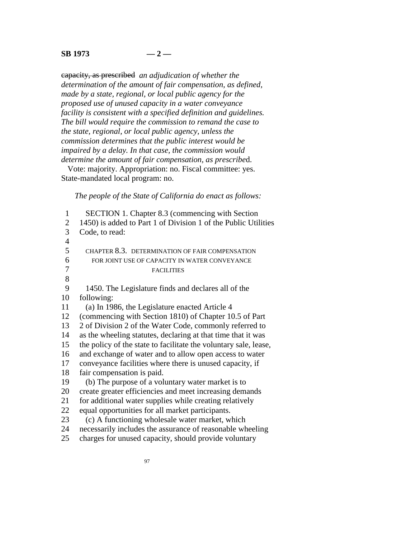## **SB 1973 — 2 —**

capacity, as prescribed *an adjudication of whether the determination of the amount of fair compensation, as defined, made by a state, regional, or local public agency for the proposed use of unused capacity in a water conveyance facility is consistent with a specified definition and guidelines. The bill would require the commission to remand the case to the state, regional, or local public agency, unless the commission determines that the public interest would be impaired by a delay. In that case, the commission would determine the amount of fair compensation, as prescribe*d.

Vote: majority. Appropriation: no. Fiscal committee: yes. State-mandated local program: no.

*The people of the State of California do enact as follows:*

 1 SECTION 1. Chapter 8.3 (commencing with Section 2 1450) is added to Part 1 of Division 1 of the Public Utilities 3 Code, to read: 4 5 CHAPTER 8.3. DETERMINATION OF FAIR COMPENSATION 6 FOR JOINT USE OF CAPACITY IN WATER CONVEYANCE 7 FACILITIES 8 9 1450. The Legislature finds and declares all of the 10 following: 11 (a) In 1986, the Legislature enacted Article 4 12 (commencing with Section 1810) of Chapter 10.5 of Part 13 2 of Division 2 of the Water Code, commonly referred to 14 as the wheeling statutes, declaring at that time that it was 15 the policy of the state to facilitate the voluntary sale, lease, 16 and exchange of water and to allow open access to water 17 conveyance facilities where there is unused capacity, if 18 fair compensation is paid. 19 (b) The purpose of a voluntary water market is to 20 create greater efficiencies and meet increasing demands 21 for additional water supplies while creating relatively 22 equal opportunities for all market participants. 23 (c) A functioning wholesale water market, which 24 necessarily includes the assurance of reasonable wheeling 25 charges for unused capacity, should provide voluntary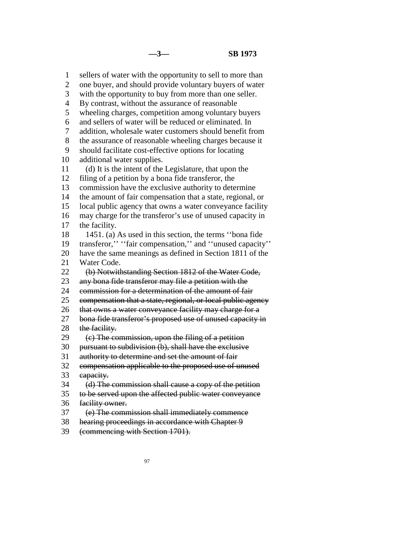1 sellers of water with the opportunity to sell to more than 2 one buyer, and should provide voluntary buyers of water 3 with the opportunity to buy from more than one seller. 4 By contrast, without the assurance of reasonable 5 wheeling charges, competition among voluntary buyers 6 and sellers of water will be reduced or eliminated. In 7 addition, wholesale water customers should benefit from 8 the assurance of reasonable wheeling charges because it 9 should facilitate cost-effective options for locating 10 additional water supplies. 11 (d) It is the intent of the Legislature, that upon the 12 filing of a petition by a bona fide transferor, the 13 commission have the exclusive authority to determine 14 the amount of fair compensation that a state, regional, or 15 local public agency that owns a water conveyance facility 16 may charge for the transferor's use of unused capacity in 17 the facility. 18 1451. (a) As used in this section, the terms ''bona fide 19 transferor,'' ''fair compensation,'' and ''unused capacity'' 20 have the same meanings as defined in Section 1811 of the 21 Water Code. 22 (b) Notwithstanding Section 1812 of the Water Code, 23 any bona fide transferor may file a petition with the 24 commission for a determination of the amount of fair 25 compensation that a state, regional, or local public agency 26 that owns a water conveyance facility may charge for a 27 bona fide transferor's proposed use of unused capacity in 28 the facility.  $29 \quad (e)$  The commission, upon the filing of a petition 30 pursuant to subdivision (b), shall have the exclusive 31 authority to determine and set the amount of fair 32 compensation applicable to the proposed use of unused 33 capacity. 34 (d) The commission shall cause a copy of the petition 35 to be served upon the affected public water conveyance 36 facility owner. 37 (e) The commission shall immediately commence 38 hearing proceedings in accordance with Chapter 9

39 (commencing with Section 1701).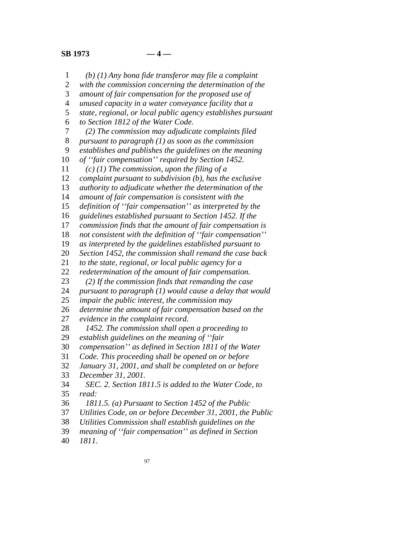*(b) (1) Any bona fide transferor may file a complaint with the commission concerning the determination of the amount of fair compensation for the proposed use of unused capacity in a water conveyance facility that a state, regional, or local public agency establishes pursuant to Section 1812 of the Water Code. (2) The commission may adjudicate complaints filed pursuant to paragraph (1) as soon as the commission establishes and publishes the guidelines on the meaning of ''fair compensation'' required by Section 1452. (c) (1) The commission, upon the filing of a complaint pursuant to subdivision (b), has the exclusive authority to adjudicate whether the determination of the amount of fair compensation is consistent with the definition of ''fair compensation'' as interpreted by the guidelines established pursuant to Section 1452. If the commission finds that the amount of fair compensation is not consistent with the definition of ''fair compensation'' as interpreted by the guidelines established pursuant to Section 1452, the commission shall remand the case back to the state, regional, or local public agency for a redetermination of the amount of fair compensation. (2) If the commission finds that remanding the case pursuant to paragraph (1) would cause a delay that would impair the public interest, the commission may determine the amount of fair compensation based on the evidence in the complaint record. 1452. The commission shall open a proceeding to establish guidelines on the meaning of ''fair compensation'' as defined in Section 1811 of the Water Code. This proceeding shall be opened on or before January 31, 2001, and shall be completed on or before December 31, 2001. SEC. 2. Section 1811.5 is added to the Water Code, to read: 1811.5. (a) Pursuant to Section 1452 of the Public Utilities Code, on or before December 31, 2001, the Public Utilities Commission shall establish guidelines on the meaning of ''fair compensation'' as defined in Section 1811.*